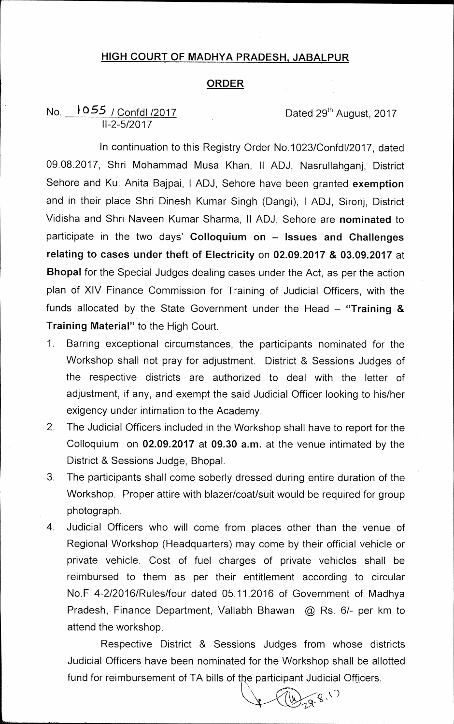## **HIGH COURT OF MADHYA PRADESH, JABALPUR**

## **ORDER**

## No. **1055** / Confdl /2017 **Dated 29<sup>th</sup> August, 2017 11-2-5/2017**

**In continuation to this Registry Order No.1023/Confd1/2017, dated 09.08.2017, Shri Mohammad Musa Khan, II ADJ, Nasrullahganj, District Sehore and Ku. Anita Bajpai, I ADJ, Sehore have been granted exemption and in their place Shri Dinesh Kumar Singh (Dangi), I ADJ, Sironj, District Vidisha and Shri Naveen Kumar Sharma, II ADJ, Sehore are nominated to participate in the two days' Colloquium on — Issues and Challenges relating to cases under theft of Electricity on 02.09.2017 & 03.09.2017 at Bhopal for the Special Judges dealing cases under the Act, as per the action plan of XIV Finance Commission for Training of Judicial Officers, with the funds allocated by the State Government under the Head — "Training & Training Material" to the High Court.** 

- **1. Barring exceptional circumstances, the participants nominated for the Workshop shall not pray for adjustment. District & Sessions Judges of the respective districts are authorized to deal with the letter of adjustment, if any, and exempt the said Judicial Officer looking to his/her exigency under intimation to the Academy.**
- **2. The Judicial Officers included in the Workshop shall have to report for the Colloquium on 02.09.2017 at 09.30 a.m. at the venue intimated by the District & Sessions Judge, Bhopal.**
- **3. The participants shall come soberly dressed during entire duration of the Workshop. Proper attire with blazer/coat/suit would be required for group photograph.**
- **4. Judicial Officers who will come from places other than the venue of Regional Workshop (Headquarters) may come by their official vehicle or private vehicle. Cost of fuel charges of private vehicles shall be reimbursed to them as per their entitlement according to circular No.F 4-2/2016/Rules/four dated 05.11.2016 of Government of Madhya Pradesh, Finance Department, Vallabh Bhawan @ Rs. 6/- per km to attend the workshop.**

**Respective District & Sessions Judges from whose districts Judicial Officers have been nominated for the Workshop shall be allotted**  fund for reimbursement of TA bills of the participant Judicial Officers.

29.8.17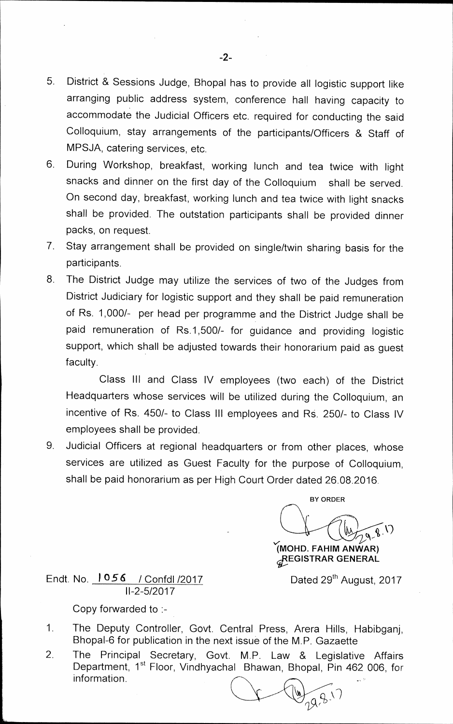- 5. District & Sessions Judge, Bhopal has to provide all logistic support like arranging public address system, conference hall having capacity to accommodate the Judicial Officers etc. required for conducting the said Colloquium, stay arrangements of the participants/Officers & Staff of MPSJA, catering services, etc.
- 6. During Workshop, breakfast, working lunch and tea twice with light snacks and dinner on the first day of the Colloquium shall be served. On second day, breakfast, working lunch and tea twice with light snacks shall be provided. The outstation participants shall be provided dinner packs, on request.
- 7. Stay arrangement shall be provided on single/twin sharing basis for the participants.
- 8. The District Judge may utilize the services of two of the Judges from District Judiciary for logistic support and they shall be paid remuneration of Rs. 1,000/- per head per programme and the District Judge shall be paid remuneration of Rs.1,500/- for guidance and providing logistic support, which shall be adjusted towards their honorarium paid as guest faculty.

Class III and Class IV employees (two each) of the District Headquarters whose services will be utilized during the Colloquium, an incentive of Rs. 450/- to Class III employees and Rs. 250/- to Class IV employees shall be provided.

9. Judicial Officers at regional headquarters or from other places, whose services are utilized as Guest Faculty for the purpose of Colloquium, shall be paid honorarium as per High Court Order dated 26.08.2016.

**BY ORDER VI)) 'r(MOHD. FAHIM AN WAR)** 

**,GISTRAR GENERAL** 

Dated 29<sup>th</sup> August, 2017

Endt. No. 1 056 / Confdl /2017 11-2-5/2017

Copy forwarded to :-

- 1. The Deputy Controller, Govt. Central Press, Arera Hills, Habibganj, Bhopal-6 for publication in the next issue of the M.P. Gazaette
- 2. The Principal Secretary, Govt. M.P. Law & Legislative Affairs Department, 1<sup>st</sup> Floor, Vindhyachal Bhawan, Bhopal, Pin 462 006, for information.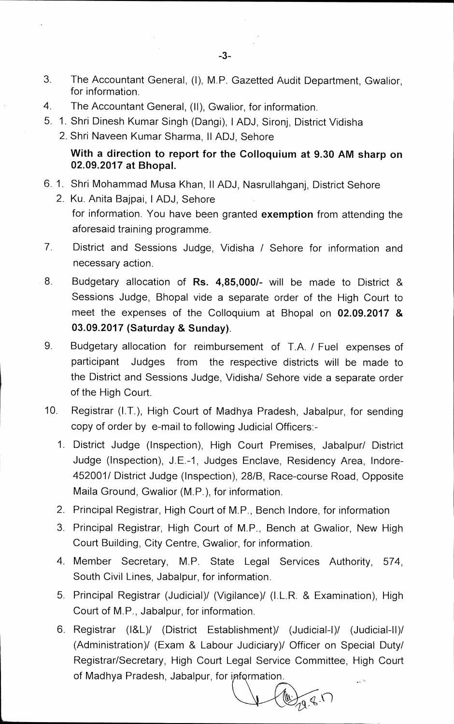- 3. The Accountant General, (I), M.P. Gazetted Audit Department, Gwalior, for information.
- 4. The Accountant General, (II), Gwalior, for information.
- 5. 1. Shri Dinesh Kumar Singh (Dangi), I ADJ, Sironj, District Vidisha
	- 2. Shri Naveen Kumar Sharma, II ADJ, Sehore

## **With a direction to report for the Colloquium at 9.30 AM sharp on 02.09.2017 at Bhopal.**

- 6. 1. Shri Mohammad Musa Khan, II ADJ, Nasrullahganj, District Sehore
	- 2. Ku. Anita Bajpai, I ADJ, Sehore for information. You have been granted **exemption** from attending the aforesaid training programme.
- 7. District and Sessions Judge, Vidisha / Sehore for information and necessary action.
- 8 Budgetary allocation of **Rs. 4,85,000/-** will be made to District & Sessions Judge, Bhopal vide a separate order of the High Court to meet the expenses of the Colloquium at Bhopal on **02.09.2017 & 03.09.2017 (Saturday & Sunday).**
- 9. Budgetary allocation for reimbursement of T.A. / Fuel expenses of participant Judges from the respective districts will be made to the District and Sessions Judge, Vidisha/ Sehore vide a separate order of the High Court.
- 10. Registrar (I.T.), High Court of Madhya Pradesh, Jabalpur, for sending copy of order by e-mail to following Judicial Officers:-
	- 1. District Judge (Inspection), High Court Premises, Jabalpur/ District Judge (Inspection), J.E.-1, Judges Enclave, Residency Area, lndore-452001/ District Judge (Inspection), 28/B, Race-course Road, Opposite Maila Ground, Gwalior (M.P.), for information.
	- 2. Principal Registrar, High Court of M.P., Bench Indore, for information
	- 3. Principal Registrar, High Court of M.P., Bench at Gwalior, New High Court Building, City Centre, Gwalior, for information.
	- 4. Member Secretary, M.P. State Legal Services Authority, 574, South Civil Lines, Jabalpur, for information.
	- 5. Principal Registrar (Judicial)/ (Vigilance)/ (I.L.R. & Examination), High Court of M.P., Jabalpur, for information.
	- 6. Registrar (184/ (District Establishment)/ (Judicial-I)/ (Judicial-11)/ (Administration)/ (Exam & Labour Judiciary)/ Officer on Special Duty/ Registrar/Secretary, High Court Legal Service Committee, High Court of Madhya Pradesh, Jabalpur, for information.

 $H_{19,8}$  (